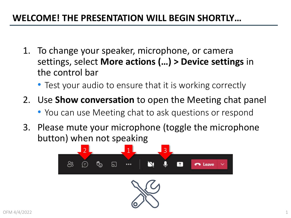#### **WELCOME! THE PRESENTATION WILL BEGIN SHORTLY…**

- 1. To change your speaker, microphone, or camera settings, select **More actions (…) > Device settings** in the control bar
	- Test your audio to ensure that it is working correctly
- 2. Use **Show conversation** to open the Meeting chat panel
	- You can use Meeting chat to ask questions or respond
- 3. Please mute your microphone (toggle the microphone button) when not speaking

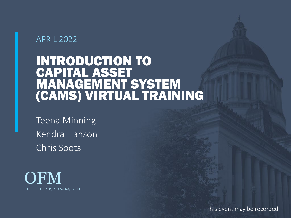#### APRIL 2022

### INTRODUCTION TO CAPITAL ASSET MANAGEMENT SYSTEM (CAMS) VIRTUAL TRAINING

Teena Minning Kendra Hanson Chris Soots



This event may be recorded.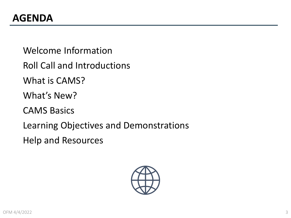Welcome Information

Roll Call and Introductions

What is CAMS?

What's New?

CAMS Basics

Learning Objectives and Demonstrations

Help and Resources

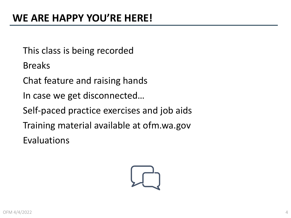This class is being recorded

Breaks

Chat feature and raising hands

In case we get disconnected…

Self-paced practice exercises and job aids

Training material available at ofm.wa.gov

Evaluations

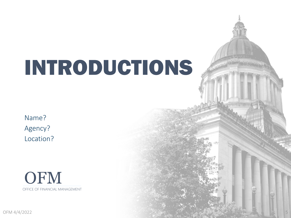# INTRODUCTIONS

Name? Agency? Location?



OFM 4/4/2022 **Second that the second contract of the second second contract of the second second second second second second second second second second second second second second second second second second second secon**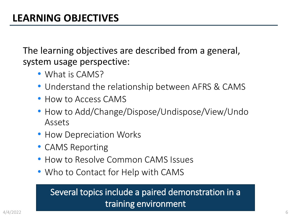The learning objectives are described from a general, system usage perspective:

- What is CAMS?
- Understand the relationship between AFRS & CAMS
- How to Access CAMS
- How to Add/Change/Dispose/Undispose/View/Undo Assets
- How Depreciation Works
- CAMS Reporting
- How to Resolve Common CAMS Issues
- Who to Contact for Help with CAMS

#### Several topics include a paired demonstration in a training environment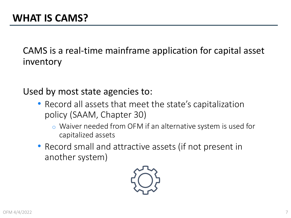CAMS is a real-time mainframe application for capital asset inventory

Used by most state agencies to:

- Record all assets that meet the state's capitalization policy (SAAM, Chapter 30)
	- o Waiver needed from OFM if an alternative system is used for capitalized assets
- Record small and attractive assets (if not present in another system)

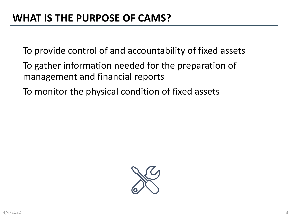To provide control of and accountability of fixed assets

- To gather information needed for the preparation of management and financial reports
- To monitor the physical condition of fixed assets

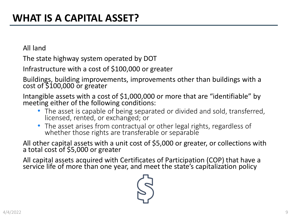All land

The state highway system operated by DOT

Infrastructure with a cost of \$100,000 or greater

Buildings, building improvements, improvements other than buildings with a cost of \$100,000 or greater

Intangible assets with a cost of \$1,000,000 or more that are "identifiable" by meeting either of the following conditions:

- The asset is capable of being separated or divided and sold, transferred, licensed, rented, or exchanged; or
- The asset arises from contractual or other legal rights, regardless of whether those rights are transferable or separable

All other capital assets with a unit cost of \$5,000 or greater, or collections with a total cost of \$5,000 or greater

All capital assets acquired with Certificates of Participation (COP) that have a service life of more than one year, and meet the state's capitalization policy

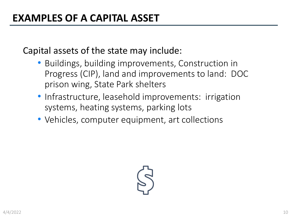Capital assets of the state may include:

- Buildings, building improvements, Construction in Progress (CIP), land and improvements to land: DOC prison wing, State Park shelters
- Infrastructure, leasehold improvements: irrigation systems, heating systems, parking lots
- Vehicles, computer equipment, art collections

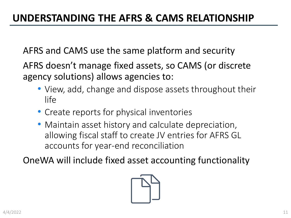AFRS and CAMS use the same platform and security

AFRS doesn't manage fixed assets, so CAMS (or discrete agency solutions) allows agencies to:

- View, add, change and dispose assets throughout their life
- Create reports for physical inventories
- Maintain asset history and calculate depreciation, allowing fiscal staff to create JV entries for AFRS GL accounts for year-end reconciliation

OneWA will include fixed asset accounting functionality

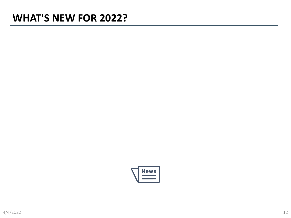### **WHAT'S NEW FOR 2022?**

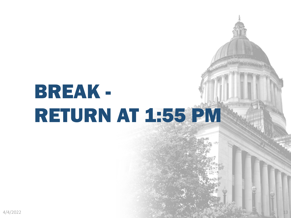# BREAK - RETURN AT 1:55 PM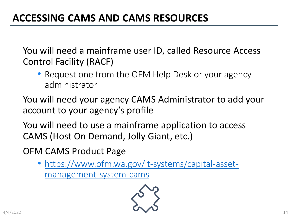You will need a mainframe user ID, called Resource Access Control Facility (RACF)

• Request one from the OFM Help Desk or your agency administrator

You will need your agency CAMS Administrator to add your account to your agency's profile

You will need to use a mainframe application to access CAMS (Host On Demand, Jolly Giant, etc.)

OFM CAMS Product Page

• [https://www.ofm.wa.gov/it-systems/capital-asset](https://www.ofm.wa.gov/it-systems/capital-asset-management-system-cams)management-system-cams

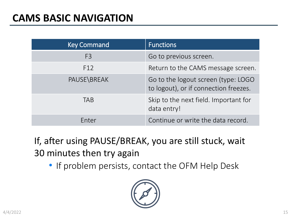| <b>Key Command</b> | <b>Functions</b>                                                             |
|--------------------|------------------------------------------------------------------------------|
| F <sub>3</sub>     | Go to previous screen.                                                       |
| F <sub>12</sub>    | Return to the CAMS message screen.                                           |
| PAUSE\BREAK        | Go to the logout screen (type: LOGO<br>to logout), or if connection freezes. |
| <b>TAB</b>         | Skip to the next field. Important for<br>data entry!                         |
| Enter              | Continue or write the data record.                                           |

If, after using PAUSE/BREAK, you are still stuck, wait 30 minutes then try again

• If problem persists, contact the OFM Help Desk

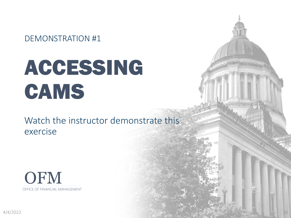DEMONSTRATION #1

# ACCESSING CAMS

Watch the instructor demonstrate this exercise



 $4/4/2022$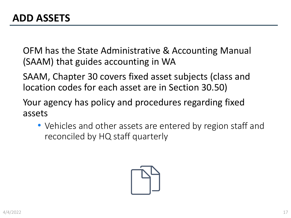OFM has the State Administrative & Accounting Manual (SAAM) that guides accounting in WA

SAAM, Chapter 30 covers fixed asset subjects (class and location codes for each asset are in Section 30.50)

Your agency has policy and procedures regarding fixed assets

• Vehicles and other assets are entered by region staff and reconciled by HQ staff quarterly

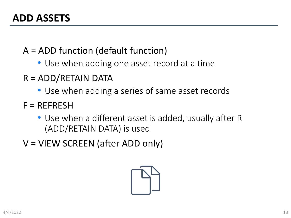- A = ADD function (default function)
	- Use when adding one asset record at a time
- R = ADD/RETAIN DATA
	- Use when adding a series of same asset records
- $F = REFERESH$ 
	- Use when a different asset is added, usually after R (ADD/RETAIN DATA) is used
- V = VIEW SCREEN (after ADD only)

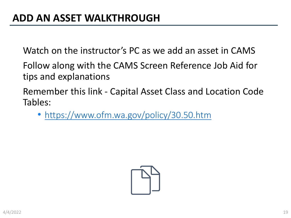Watch on the instructor's PC as we add an asset in CAMS

Follow along with the CAMS Screen Reference Job Aid for tips and explanations

Remember this link - Capital Asset Class and Location Code Tables:

• <https://www.ofm.wa.gov/policy/30.50.htm>

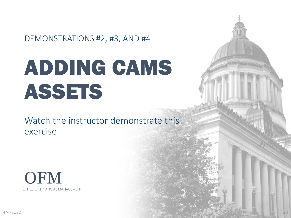DEMONSTRATIONS #2, #3, AND #4

# ADDING CAMS ASSETS

Watch the instructor demonstrate this exercise



 $4/4/2022$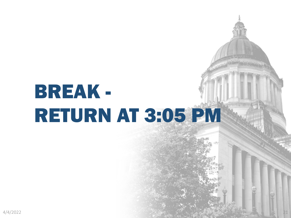# BREAK - RETURN AT 3:05 PM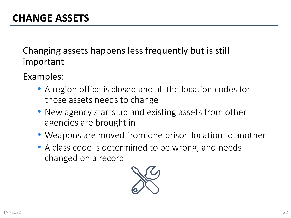Changing assets happens less frequently but is still important

- Examples:
	- A region office is closed and all the location codes for those assets needs to change
	- New agency starts up and existing assets from other agencies are brought in
	- Weapons are moved from one prison location to another
	- A class code is determined to be wrong, and needs changed on a record

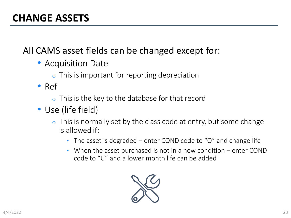#### All CAMS asset fields can be changed except for:

- Acquisition Date
	- $\circ$  This is important for reporting depreciation
- Ref
	- $\circ$  This is the key to the database for that record
- Use (life field)
	- $\circ$  This is normally set by the class code at entry, but some change is allowed if:
		- The asset is degraded enter COND code to "O" and change life
		- When the asset purchased is not in a new condition enter COND code to "U" and a lower month life can be added

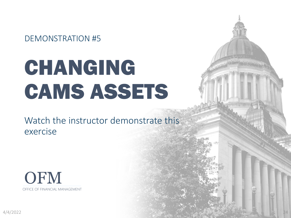DEMONSTRATION #5

# CHANGING CAMS ASSETS

Watch the instructor demonstrate this exercise



 $4/4/2022$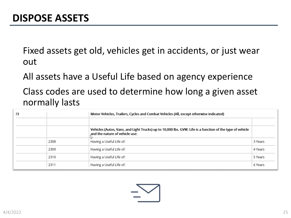Fixed assets get old, vehicles get in accidents, or just wear out

All assets have a Useful Life based on agency experience

Class codes are used to determine how long a given asset normally lasts

| 23 |      | Motor Vehicles, Trailers, Cycles and Combat Vehicles (All, except otherwise indicated)                                                      |         |
|----|------|---------------------------------------------------------------------------------------------------------------------------------------------|---------|
|    |      |                                                                                                                                             |         |
|    |      | Vehicles (Autos, Vans, and Light Trucks) up to 10,000 lbs. GVW. Life is a function of the type of vehicle<br>and the nature of vehicle use: |         |
|    | 2308 | Having a Useful Life of:                                                                                                                    | 3 Years |
|    | 2309 | Having a Useful Life of:                                                                                                                    | 4 Years |
|    | 2310 | Having a Useful Life of:                                                                                                                    | 5 Years |
|    | 2311 | Having a Useful Life of:                                                                                                                    | 6 Years |

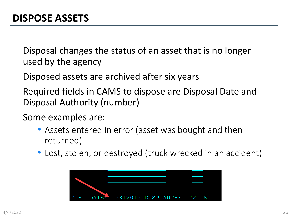Disposal changes the status of an asset that is no longer used by the agency

Disposed assets are archived after six years

Required fields in CAMS to dispose are Disposal Date and Disposal Authority (number)

Some examples are:

- Assets entered in error (asset was bought and then returned)
- Lost, stolen, or destroyed (truck wrecked in an accident)

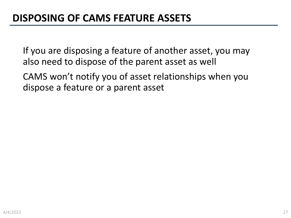If you are disposing a feature of another asset, you may also need to dispose of the parent asset as well

CAMS won't notify you of asset relationships when you dispose a feature or a parent asset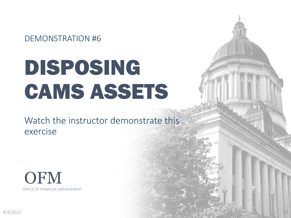DEMONSTRATION #6

# DISPOSING CAMS ASSETS

Watch the instructor demonstrate this exercise



 $4/4/2022$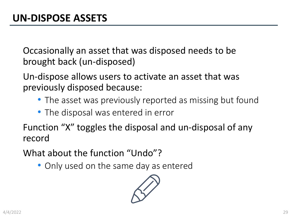Occasionally an asset that was disposed needs to be brought back (un-disposed)

Un-dispose allows users to activate an asset that was previously disposed because:

- The asset was previously reported as missing but found
- The disposal was entered in error

Function "X" toggles the disposal and un-disposal of any record

What about the function "Undo"?

• Only used on the same day as entered

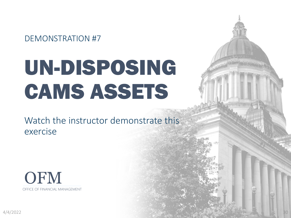DEMONSTRATION #7

# UN-DISPOSING CAMS ASSETS

Watch the instructor demonstrate this exercise



 $4/4/2022$  . Both and the set of the set of the set of the set of the set of the set of the set of the set of the set of the set of the set of the set of the set of the set of the set of the set of the set of the set of t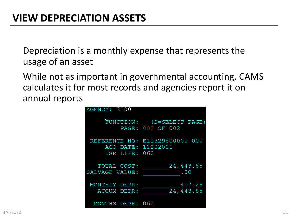Depreciation is a monthly expense that represents the usage of an asset

While not as important in governmental accounting, CAMS calculates it for most records and agencies report it on annual reports

| AGENCY: 3100                        |                                               |
|-------------------------------------|-----------------------------------------------|
|                                     | FUNCTION: (S=SELECT PAGE)<br>PAGE: 002 OF 002 |
| ACQ DATE: 12202011<br>USE LIFE: 060 | REFERENCE NO: E11329500000 000                |
| TOTAL COST:<br>SALVAGE VALUE:       | 24,443.85<br>.00                              |
| MONTHLY DEPR:<br>ACCUM DEPR:        | 407.29<br>24,443.85                           |
| MONTHS DEPR: 060                    |                                               |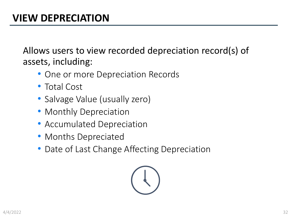Allows users to view recorded depreciation record(s) of assets, including:

- One or more Depreciation Records
- Total Cost
- Salvage Value (usually zero)
- Monthly Depreciation
- Accumulated Depreciation
- Months Depreciated
- Date of Last Change Affecting Depreciation

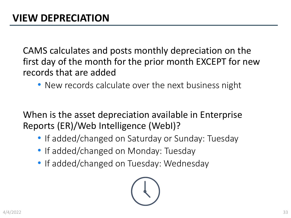CAMS calculates and posts monthly depreciation on the first day of the month for the prior month EXCEPT for new records that are added

• New records calculate over the next business night

When is the asset depreciation available in Enterprise Reports (ER)/Web Intelligence (WebI)?

- If added/changed on Saturday or Sunday: Tuesday
- If added/changed on Monday: Tuesday
- If added/changed on Tuesday: Wednesday

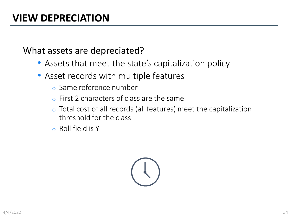#### What assets are depreciated?

- Assets that meet the state's capitalization policy
- Asset records with multiple features
	- o Same reference number
	- o First 2 characters of class are the same
	- o Total cost of all records (all features) meet the capitalization threshold for the class
	- o Roll field is Y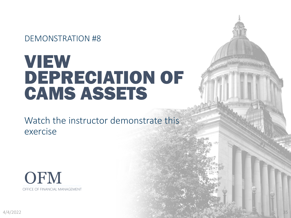DEMONSTRATION #8

### VIEW DEPRECIATION OF CAMS ASSETS

Watch the instructor demonstrate this exercise



 $4/4/2022$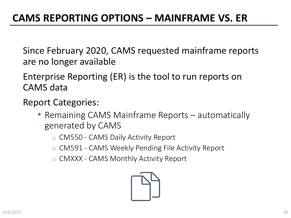Since February 2020, CAMS requested mainframe reports are no longer available

Enterprise Reporting (ER) is the tool to run reports on CAMS data

Report Categories:

- Remaining CAMS Mainframe Reports automatically generated by CAMS
	- o CM550 CAMS Daily Activity Report
	- o CM591 CAMS Weekly Pending File Activity Report
	- o CMXXX CAMS Monthly Activity Report

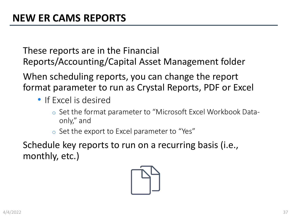These reports are in the Financial Reports/Accounting/Capital Asset Management folder

When scheduling reports, you can change the report format parameter to run as Crystal Reports, PDF or Excel

- If Excel is desired
	- o Set the format parameter to "Microsoft Excel Workbook Dataonly," and
	- o Set the export to Excel parameter to "Yes"

Schedule key reports to run on a recurring basis (i.e., monthly, etc.)

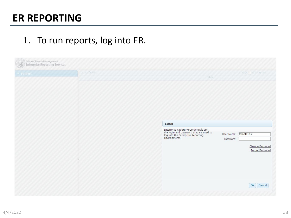### **ER REPORTING**

#### 1. To run reports, log into ER.

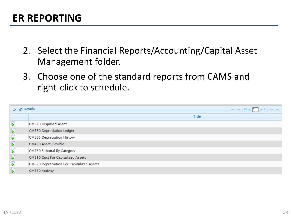- 2. Select the Financial Reports/Accounting/Capital Asset Management folder.
- 3. Choose one of the standard reports from CAMS and right-click to schedule.

| <b>¢ p</b> Details                          |                                           | $\vert \cdot \vert \cdot \vert \cdot \vert$ age 1 of<br><b>IPS INT</b> |  |
|---------------------------------------------|-------------------------------------------|------------------------------------------------------------------------|--|
|                                             |                                           | <b>Title</b>                                                           |  |
| ₽                                           | CM370 Disposed Asset                      |                                                                        |  |
| $\overline{\clubsuit}$                      | CM380 Depreciation Ledger                 |                                                                        |  |
| ♪                                           | CM385 Depreciation History                |                                                                        |  |
| $\overline{\bullet}$                        | CM450 Asset Flexible                      |                                                                        |  |
| ♪                                           | CM750 Subtotal By Category                |                                                                        |  |
| $\left  \right. \right. \left. \right\vert$ | CM810 Cost For Capitalized Assets         |                                                                        |  |
| $\overline{\bullet}$                        | CM820 Depreciation For Capitalized Assets |                                                                        |  |
| ♦                                           | CM850 Activity                            |                                                                        |  |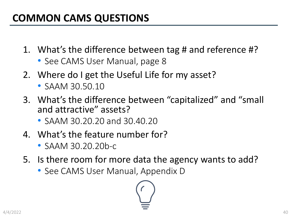### **COMMON CAMS QUESTIONS**

- 1. What's the difference between tag # and reference #?
	- See CAMS User Manual, page 8
- 2. Where do I get the Useful Life for my asset?
	- SAAM 30.50.10
- 3. What's the difference between "capitalized" and "small and attractive" assets?
	- SAAM 30.20.20 and 30.40.20
- 4. What's the feature number for?
	- SAAM 30.20.20b-c
- 5. Is there room for more data the agency wants to add?
	- See CAMS User Manual, Appendix D

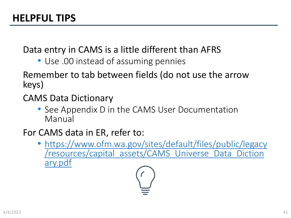Data entry in CAMS is a little different than AFRS

• Use .00 instead of assuming pennies

#### Remember to tab between fields (do not use the arrow keys)

#### CAMS Data Dictionary

• See Appendix D in the CAMS User Documentation Manual

#### For CAMS data in ER, refer to:

• https://www.ofm.wa.gov/sites/default/files/public/legacy [/resources/capital\\_assets/CAMS\\_Universe\\_Data\\_Diction](https://www.ofm.wa.gov/sites/default/files/public/legacy/resources/capital_assets/CAMS_Universe_Data_Dictionary.pdf) ary.pdf

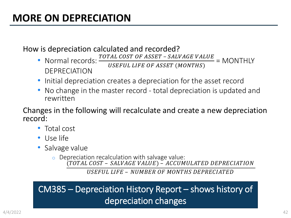#### How is depreciation calculated and recorded?

- Normal records:  $\frac{TOTAL COST OF ASSET SALVAGE VALUE}{USEFUL LIFE OF ASSET (MONTHS)}$  = MONTHLY DEPRECIATION
- Initial depreciation creates a depreciation for the asset record
- No change in the master record total depreciation is updated and rewritten

Changes in the following will recalculate and create a new depreciation record:

- Total cost
- Use life
- Salvage value
	- o Depreciation recalculation with salvage value: (TOTAL COST – SALVAGE VALUE) – ACCUMULATED DEPRECIATION

USEFUL LIFE - NUMBER OF MONTHS DEPRECIATED

#### CM385 – Depreciation History Report – shows history of depreciation changes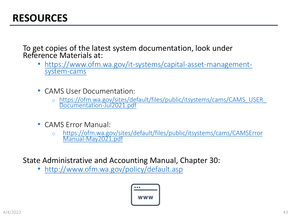### **RESOURCES**

To get copies of the latest system documentation, look under Reference Materials at:

- [https://www.ofm.wa.gov/it-systems/capital-asset-management-](https://www.ofm.wa.gov/it-systems/capital-asset-management-system-cams)<br>system-cams
- CAMS User Documentation:
	- o [https://ofm.wa.gov/sites/default/files/public/itsystems/cams/CAMS\\_USER\\_](https://ofm.wa.gov/sites/default/files/public/itsystems/cams/CAMS_USER_Documentation-Jul2021.pdf) Documentation-Jul2021.pdf
- CAMS Error Manual:
	- o [https://ofm.wa.gov/sites/default/files/public/itsystems/cams/CAMSError](https://ofm.wa.gov/sites/default/files/public/itsystems/cams/CAMSErrorManual-May2021.pdf) Manual-May2021.pdf

State Administrative and Accounting Manual, Chapter 30:

• <http://www.ofm.wa.gov/policy/default.asp>

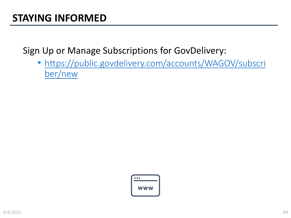### **STAYING INFORMED**

Sign Up or Manage Subscriptions for GovDelivery:

• [https://public.govdelivery.com/accounts/WAGOV/subscri](https://public.govdelivery.com/accounts/WAGOV/subscriber/new) ber/new

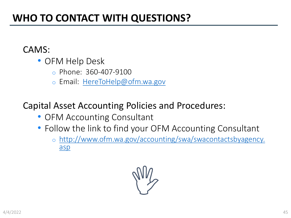### **WHO TO CONTACT WITH QUESTIONS?**

#### CAMS:

- OFM Help Desk
	- o Phone: 360-407-9100
	- o Email: [HereToHelp@ofm.wa.gov](mailto:HereToHelp@ofm.wa.gov)

#### Capital Asset Accounting Policies and Procedures:

- OFM Accounting Consultant
- Follow the link to find your OFM Accounting Consultant
	- o [http://www.ofm.wa.gov/accounting/swa/swacontactsbyagency.](http://www.ofm.wa.gov/accounting/swa/swacontactsbyagency.asp) asp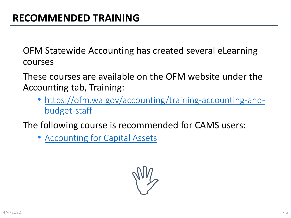OFM Statewide Accounting has created several eLearning courses

These courses are available on the OFM website under the Accounting tab, Training:

• [https://ofm.wa.gov/accounting/training-accounting-and](https://ofm.wa.gov/accounting/training-accounting-and-budget-staff)budget-staff

The following course is recommended for CAMS users:

• [Accounting for Capital Assets](https://www.ofm.wa.gov/sites/default/files/public/articulate/accounting/OFM%20-%20Accounting%20for%20Capital%20Assets/story.html)